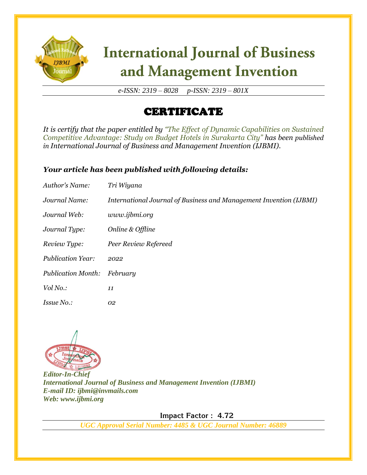

# **International Journal of Business** and Management Invention

*e-ISSN: 2319 – 8028 p-ISSN: 2319 – 801X*

## CERTIFICATE

*It is certify that the paper entitled by "The Effect of Dynamic Capabilities on Sustained Competitive Advantage: Study on Budget Hotels in Surakarta City" has been published in International Journal of Business and Management Invention (IJBMI).*

### *Your article has been published with following details:*

| Author's Name:            | Tri Wiyana                                                         |
|---------------------------|--------------------------------------------------------------------|
| Journal Name:             | International Journal of Business and Management Invention (IJBMI) |
| Journal Web:              | www.ijbmi.org                                                      |
| Journal Type:             | Online & Offline                                                   |
| Review Type:              | Peer Review Refereed                                               |
| <b>Publication Year:</b>  | 2022                                                               |
| <b>Publication Month:</b> | February                                                           |
| Vol No.:                  | 11                                                                 |
| <i>Issue No.:</i>         | 02                                                                 |



*Editor-In-Chief International Journal of Business and Management Invention (IJBMI) E-mail ID: ijbmi@invmails.com Web: www.ijbmi.org*

 **Impact Factor : 4.72** 

*UGC Approval Serial Number: 4485 & UGC Journal Number: 46889*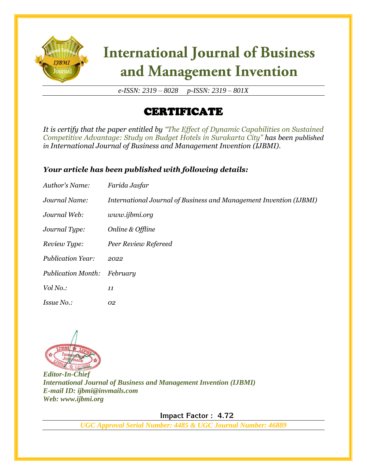

# **International Journal of Business** and Management Invention

*e-ISSN: 2319 – 8028 p-ISSN: 2319 – 801X*

## CERTIFICATE

*It is certify that the paper entitled by "The Effect of Dynamic Capabilities on Sustained Competitive Advantage: Study on Budget Hotels in Surakarta City" has been published in International Journal of Business and Management Invention (IJBMI).*

### *Your article has been published with following details:*

| Author's Name:            | Farida Jasfar                                                      |
|---------------------------|--------------------------------------------------------------------|
| Journal Name:             | International Journal of Business and Management Invention (IJBMI) |
| Journal Web:              | www.ijbmi.org                                                      |
| Journal Type:             | Online & Offline                                                   |
| Review Type:              | Peer Review Refereed                                               |
| <b>Publication Year:</b>  | 2022                                                               |
| <b>Publication Month:</b> | February                                                           |
| Vol No.:                  | 11                                                                 |
| <i>Issue No.:</i>         | 02                                                                 |



*Editor-In-Chief International Journal of Business and Management Invention (IJBMI) E-mail ID: ijbmi@invmails.com Web: www.ijbmi.org*

 **Impact Factor : 4.72** 

*UGC Approval Serial Number: 4485 & UGC Journal Number: 46889*